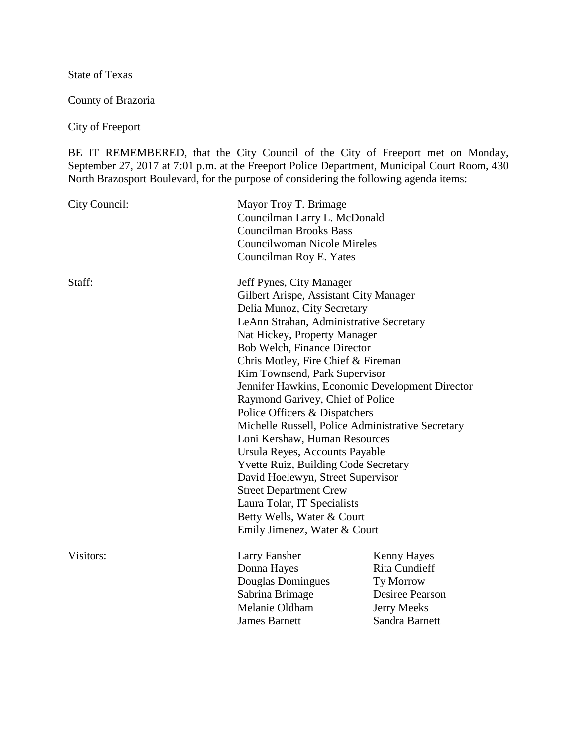State of Texas

County of Brazoria

City of Freeport

BE IT REMEMBERED, that the City Council of the City of Freeport met on Monday, September 27, 2017 at 7:01 p.m. at the Freeport Police Department, Municipal Court Room, 430 North Brazosport Boulevard, for the purpose of considering the following agenda items:

| City Council: | Mayor Troy T. Brimage<br>Councilman Larry L. McDonald<br><b>Councilman Brooks Bass</b><br><b>Councilwoman Nicole Mireles</b><br>Councilman Roy E. Yates |                                                                                                                                                                                                                                                                                                                                                                                                                                                                                                                                                                                                                          |  |
|---------------|---------------------------------------------------------------------------------------------------------------------------------------------------------|--------------------------------------------------------------------------------------------------------------------------------------------------------------------------------------------------------------------------------------------------------------------------------------------------------------------------------------------------------------------------------------------------------------------------------------------------------------------------------------------------------------------------------------------------------------------------------------------------------------------------|--|
| Staff:        | Jeff Pynes, City Manager<br><b>Street Department Crew</b><br>Laura Tolar, IT Specialists<br>Emily Jimenez, Water & Court                                | Gilbert Arispe, Assistant City Manager<br>Delia Munoz, City Secretary<br>LeAnn Strahan, Administrative Secretary<br>Nat Hickey, Property Manager<br>Bob Welch, Finance Director<br>Chris Motley, Fire Chief & Fireman<br>Kim Townsend, Park Supervisor<br>Jennifer Hawkins, Economic Development Director<br>Raymond Garivey, Chief of Police<br>Police Officers & Dispatchers<br>Michelle Russell, Police Administrative Secretary<br>Loni Kershaw, Human Resources<br>Ursula Reyes, Accounts Payable<br><b>Yvette Ruiz, Building Code Secretary</b><br>David Hoelewyn, Street Supervisor<br>Betty Wells, Water & Court |  |
| Visitors:     | Larry Fansher<br>Donna Hayes<br>Douglas Domingues<br>Sabrina Brimage<br>Melanie Oldham<br><b>James Barnett</b>                                          | Kenny Hayes<br><b>Rita Cundieff</b><br>Ty Morrow<br><b>Desiree Pearson</b><br><b>Jerry Meeks</b><br>Sandra Barnett                                                                                                                                                                                                                                                                                                                                                                                                                                                                                                       |  |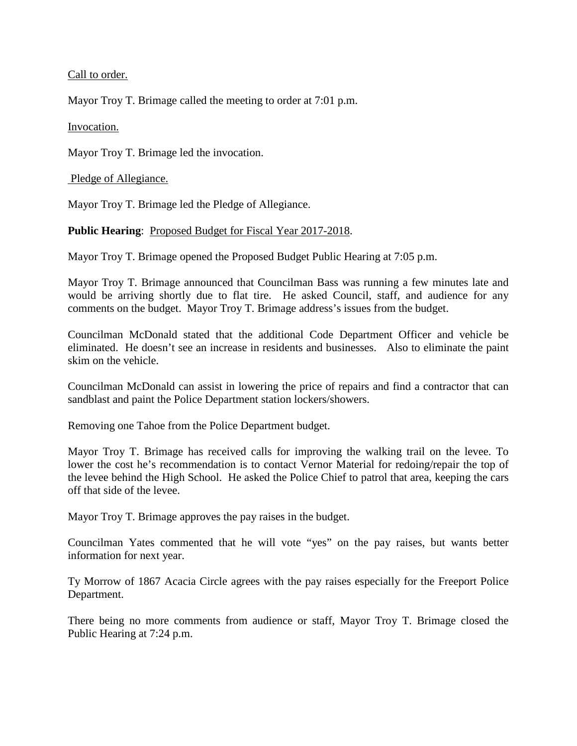Call to order.

Mayor Troy T. Brimage called the meeting to order at 7:01 p.m.

Invocation.

Mayor Troy T. Brimage led the invocation.

Pledge of Allegiance.

Mayor Troy T. Brimage led the Pledge of Allegiance.

## Public Hearing: Proposed Budget for Fiscal Year 2017-2018.

Mayor Troy T. Brimage opened the Proposed Budget Public Hearing at 7:05 p.m.

Mayor Troy T. Brimage announced that Councilman Bass was running a few minutes late and would be arriving shortly due to flat tire. He asked Council, staff, and audience for any comments on the budget. Mayor Troy T. Brimage address's issues from the budget.

Councilman McDonald stated that the additional Code Department Officer and vehicle be eliminated. He doesn't see an increase in residents and businesses. Also to eliminate the paint skim on the vehicle.

Councilman McDonald can assist in lowering the price of repairs and find a contractor that can sandblast and paint the Police Department station lockers/showers.

Removing one Tahoe from the Police Department budget.

Mayor Troy T. Brimage has received calls for improving the walking trail on the levee. To lower the cost he's recommendation is to contact Vernor Material for redoing/repair the top of the levee behind the High School. He asked the Police Chief to patrol that area, keeping the cars off that side of the levee.

Mayor Troy T. Brimage approves the pay raises in the budget.

Councilman Yates commented that he will vote "yes" on the pay raises, but wants better information for next year.

Ty Morrow of 1867 Acacia Circle agrees with the pay raises especially for the Freeport Police Department.

There being no more comments from audience or staff, Mayor Troy T. Brimage closed the Public Hearing at 7:24 p.m.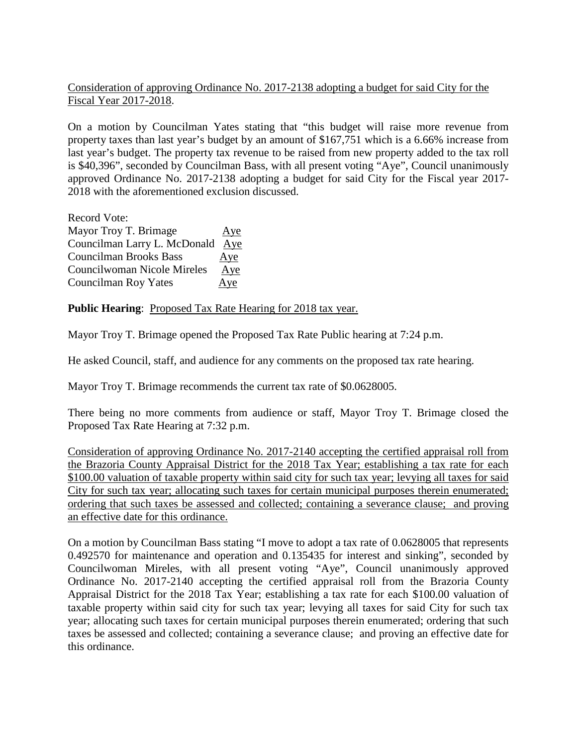## Consideration of approving Ordinance No. 2017-2138 adopting a budget for said City for the Fiscal Year 2017-2018.

On a motion by Councilman Yates stating that "this budget will raise more revenue from property taxes than last year's budget by an amount of \$167,751 which is a 6.66% increase from last year's budget. The property tax revenue to be raised from new property added to the tax roll is \$40,396", seconded by Councilman Bass, with all present voting "Aye", Council unanimously approved Ordinance No. 2017-2138 adopting a budget for said City for the Fiscal year 2017- 2018 with the aforementioned exclusion discussed.

Record Vote: Mayor Troy T. Brimage Aye Councilman Larry L. McDonald Aye Councilman Brooks Bass Aye Councilwoman Nicole Mireles Aye Councilman Roy Yates Aye

**Public Hearing:** Proposed Tax Rate Hearing for 2018 tax year.

Mayor Troy T. Brimage opened the Proposed Tax Rate Public hearing at 7:24 p.m.

He asked Council, staff, and audience for any comments on the proposed tax rate hearing.

Mayor Troy T. Brimage recommends the current tax rate of \$0.0628005.

There being no more comments from audience or staff, Mayor Troy T. Brimage closed the Proposed Tax Rate Hearing at 7:32 p.m.

Consideration of approving Ordinance No. 2017-2140 accepting the certified appraisal roll from the Brazoria County Appraisal District for the 2018 Tax Year; establishing a tax rate for each \$100.00 valuation of taxable property within said city for such tax year; levying all taxes for said City for such tax year; allocating such taxes for certain municipal purposes therein enumerated; ordering that such taxes be assessed and collected; containing a severance clause; and proving an effective date for this ordinance.

On a motion by Councilman Bass stating "I move to adopt a tax rate of 0.0628005 that represents 0.492570 for maintenance and operation and 0.135435 for interest and sinking", seconded by Councilwoman Mireles, with all present voting "Aye", Council unanimously approved Ordinance No. 2017-2140 accepting the certified appraisal roll from the Brazoria County Appraisal District for the 2018 Tax Year; establishing a tax rate for each \$100.00 valuation of taxable property within said city for such tax year; levying all taxes for said City for such tax year; allocating such taxes for certain municipal purposes therein enumerated; ordering that such taxes be assessed and collected; containing a severance clause; and proving an effective date for this ordinance.